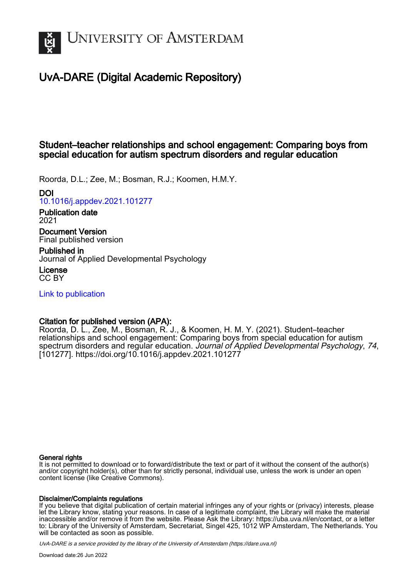

# UvA-DARE (Digital Academic Repository)

## Student–teacher relationships and school engagement: Comparing boys from special education for autism spectrum disorders and regular education

Roorda, D.L.; Zee, M.; Bosman, R.J.; Koomen, H.M.Y.

## DOI

[10.1016/j.appdev.2021.101277](https://doi.org/10.1016/j.appdev.2021.101277)

## Publication date 2021

Document Version Final published version

Published in Journal of Applied Developmental Psychology

License CC BY

[Link to publication](https://dare.uva.nl/personal/pure/en/publications/studentteacher-relationships-and-school-engagement-comparing-boys-from-special-education-for-autism-spectrum-disorders-and-regular-education(16ed4380-c6f6-4819-b2ac-4e3e32a7a20d).html)

## Citation for published version (APA):

Roorda, D. L., Zee, M., Bosman, R. J., & Koomen, H. M. Y. (2021). Student–teacher relationships and school engagement: Comparing boys from special education for autism spectrum disorders and regular education. Journal of Applied Developmental Psychology, 74, [101277].<https://doi.org/10.1016/j.appdev.2021.101277>

## General rights

It is not permitted to download or to forward/distribute the text or part of it without the consent of the author(s) and/or copyright holder(s), other than for strictly personal, individual use, unless the work is under an open content license (like Creative Commons).

## Disclaimer/Complaints regulations

If you believe that digital publication of certain material infringes any of your rights or (privacy) interests, please let the Library know, stating your reasons. In case of a legitimate complaint, the Library will make the material inaccessible and/or remove it from the website. Please Ask the Library: https://uba.uva.nl/en/contact, or a letter to: Library of the University of Amsterdam, Secretariat, Singel 425, 1012 WP Amsterdam, The Netherlands. You will be contacted as soon as possible.

UvA-DARE is a service provided by the library of the University of Amsterdam (http*s*://dare.uva.nl)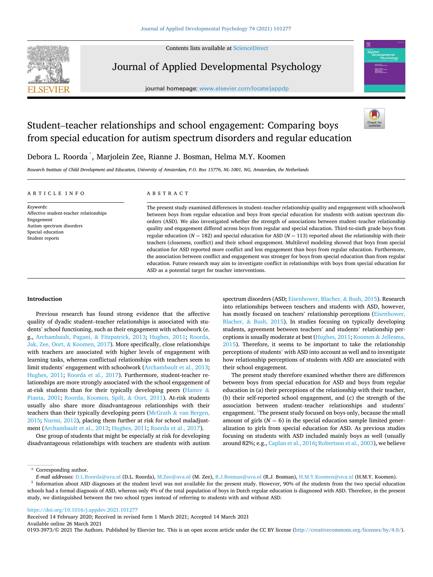Contents lists available at [ScienceDirect](www.sciencedirect.com/science/journal/01933973)



## Journal of Applied Developmental Psychology

journal homepage: [www.elsevier.com/locate/jappdp](https://www.elsevier.com/locate/jappdp)



# Student–teacher relationships and school engagement: Comparing boys from special education for autism spectrum disorders and regular education

Debora L. Roorda \* , Marjolein Zee, Rianne J. Bosman, Helma M.Y. Koomen

*Research Institute of Child Development and Education, University of Amsterdam, P.O. Box 15776, NL-1001, NG, Amsterdam, the Netherlands* 

#### ARTICLE INFO

*Keywords:*  Affective student-teacher relationships Engagement Autism spectrum disorders Special education Student reports

## ABSTRACT

The present study examined differences in student–teacher relationship quality and engagement with schoolwork between boys from regular education and boys from special education for students with autism spectrum disorders (ASD). We also investigated whether the strength of associations between student–teacher relationship quality and engagement differed across boys from regular and special education. Third-to-sixth grade boys from regular education ( $N = 182$ ) and special education for ASD ( $N = 113$ ) reported about the relationship with their teachers (closeness, conflict) and their school engagement. Multilevel modeling showed that boys from special education for ASD reported more conflict and less engagement than boys from regular education. Furthermore, the association between conflict and engagement was stronger for boys from special education than from regular education. Future research may aim to investigate conflict in relationships with boys from special education for ASD as a potential target for teacher interventions.

## **Introduction**

Previous research has found strong evidence that the affective quality of dyadic student–teacher relationships is associated with students' school functioning, such as their engagement with schoolwork (e. g., [Archambault, Pagani,](#page-8-0) & Fitzpatrick, 2013; [Hughes, 2011;](#page-8-0) [Roorda,](#page-9-0)  [Jak, Zee, Oort,](#page-9-0) & Koomen, 2017). More specifically, close relationships with teachers are associated with higher levels of engagement with learning tasks, whereas conflictual relationships with teachers seem to limit students' engagement with schoolwork ([Archambault et al., 2013](#page-8-0); [Hughes, 2011](#page-8-0); [Roorda et al., 2017](#page-9-0)). Furthermore, student-teacher relationships are more strongly associated with the school engagement of at-risk students than for their typically developing peers ([Hamre](#page-8-0)  $\&$ [Pianta, 2001](#page-8-0); [Roorda, Koomen, Spilt,](#page-9-0) & Oort, 2011). At-risk students usually also share more disadvantageous relationships with their teachers than their typically developing peers (McGrath  $&$  van Bergen, [2015;](#page-8-0) [Nurmi, 2012\)](#page-9-0), placing them further at risk for school maladjustment ([Archambault et al., 2013](#page-8-0); [Hughes, 2011;](#page-8-0) [Roorda et al., 2017](#page-9-0)).

One group of students that might be especially at risk for developing disadvantageous relationships with teachers are students with autism

spectrum disorders (ASD; [Eisenhower, Blacher,](#page-8-0) & Bush, 2015). Research into relationships between teachers and students with ASD, however, has mostly focused on teachers' relationship perceptions ([Eisenhower,](#page-8-0)  Blacher, & [Bush, 2015](#page-8-0)). In studies focusing on typically developing students, agreement between teachers' and students' relationship perceptions is usually moderate at best [\(Hughes, 2011](#page-8-0); Koomen & [Jellesma,](#page-8-0)  [2015\)](#page-8-0). Therefore, it seems to be important to take the relationship perceptions of students' with ASD into account as well and to investigate how relationship perceptions of students with ASD are associated with their school engagement.

The present study therefore examined whether there are differences between boys from special education for ASD and boys from regular education in (a) their perceptions of the relationship with their teacher, (b) their self-reported school engagement, and (c) the strength of the association between student–teacher relationships and students' engagement. <sup>1</sup>The present study focused on boys only, because the small amount of girls  $(N = 6)$  in the special education sample limited generalization to girls from special education for ASD. As previous studies focusing on students with ASD included mainly boys as well (usually around 82%; e.g., [Caplan et al., 2016](#page-8-0); [Robertson et al., 2003\)](#page-9-0), we believe

<https://doi.org/10.1016/j.appdev.2021.101277>

Available online 26 March 2021 Received 14 February 2020; Received in revised form 1 March 2021; Accepted 14 March 2021

0193-3973/© 2021 The Authors. Published by Elsevier Inc. This is an open access article under the CC BY license(<http://creativecommons.org/licenses/by/4.0/>).

 $^\star$  Corresponding author.

E-mail addresses: [D.L.Roorda@uva.nl](mailto:D.L.Roorda@uva.nl) (D.L. Roorda), [M.Zee@uva.nl](mailto:M.Zee@uva.nl) (M. Zee), [R.J.Bosman@uva.nl](mailto:R.J.Bosman@uva.nl) (R.J. Bosman), [H.M.Y.Koomen@uva.nl](mailto:H.M.Y.Koomen@uva.nl) (H.M.Y. Koomen).<br><sup>1</sup> Information about ASD diagnoses at the student level was not available fo schools had a formal diagnosis of ASD, whereas only 4% of the total population of boys in Dutch regular education is diagnosed with ASD. Therefore, in the present study, we distinguished between the two school types instead of referring to students with and without ASD.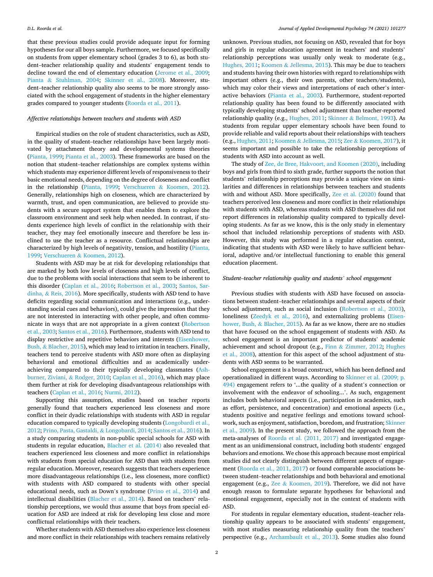that these previous studies could provide adequate input for forming hypotheses for our all boys sample. Furthermore, we focused specifically on students from upper elementary school (grades 3 to 6), as both student–teacher relationship quality and students' engagement tends to decline toward the end of elementary education [\(Jerome et al., 2009](#page-8-0); Pianta & [Stuhlman, 2004;](#page-9-0) [Skinner et al., 2008](#page-9-0)). Moreover, student–teacher relationship quality also seems to be more strongly associated with the school engagement of students in the higher elementary grades compared to younger students [\(Roorda et al., 2011\)](#page-9-0).

#### *Affective relationships between teachers and students with ASD*

Empirical studies on the role of student characteristics, such as ASD, in the quality of student–teacher relationships have been largely motivated by attachment theory and developmental systems theories ([Pianta, 1999; Pianta et al., 2003\)](#page-9-0). These frameworks are based on the notion that student–teacher relationships are complex systems within which students may experience different levels of responsiveness to their basic emotional needs, depending on the degree of closeness and conflict in the relationship [\(Pianta, 1999;](#page-9-0) Verschueren & [Koomen, 2012](#page-9-0)). Generally, relationships high on closeness, which are characterized by warmth, trust, and open communication, are believed to provide students with a secure support system that enables them to explore the classroom environment and seek help when needed. In contrast, if students experience high levels of conflict in the relationship with their teacher, they may feel emotionally insecure and therefore be less inclined to use the teacher as a resource. Conflictual relationships are characterized by high levels of negativity, tension, and hostility [\(Pianta,](#page-9-0)  [1999;](#page-9-0) Verschueren & [Koomen, 2012](#page-9-0)).

Students with ASD may be at risk for developing relationships that are marked by both low levels of closeness and high levels of conflict, due to the problems with social interactions that seem to be inherent to this disorder [\(Caplan et al., 2016;](#page-8-0) [Robertson et al., 2003;](#page-9-0) [Santos, Sar](#page-9-0)dinha, & [Reis, 2016](#page-9-0)). More specifically, students with ASD tend to have deficits regarding social communication and interactions (e.g., understanding social cues and behaviors), could give the impression that they are not interested in interacting with other people, and often communicate in ways that are not appropriate in a given context ([Robertson](#page-9-0)  [et al., 2003](#page-9-0); [Santos et al., 2016\)](#page-9-0). Furthermore, students with ASD tend to display restrictive and repetitive behaviors and interests ([Eisenhower,](#page-8-0)  Bush, & [Blacher, 2015\)](#page-8-0), which may lead to irritation in teachers. Finally, teachers tend to perceive students with ASD more often as displaying behavioral and emotional difficulties and as academically underachieving compared to their typically developing classmates [\(Ash](#page-8-0)[burner, Ziviani,](#page-8-0) & Rodger, 2010; [Caplan et al., 2016\)](#page-8-0), which may place them further at risk for developing disadvantageous relationships with teachers [\(Caplan et al., 2016](#page-8-0); [Nurmi, 2012\)](#page-9-0).

Supporting this assumption, studies based on teacher reports generally found that teachers experienced less closeness and more conflict in their dyadic relationships with students with ASD in regular education compared to typically developing students [\(Longobardi et al.,](#page-8-0)  [2012;](#page-8-0) [Prino, Pasta, Gastaldi,](#page-9-0) & Longobardi, 2014; [Santos et al., 2016\)](#page-9-0). In a study comparing students in non-public special schools for ASD with students in regular education, [Blacher et al. \(2014\)](#page-8-0) also revealed that teachers experienced less closeness and more conflict in relationships with students from special education for ASD than with students from regular education. Moreover, research suggests that teachers experience more disadvantageous relationships (i.e., less closeness, more conflict) with students with ASD compared to students with other special educational needs, such as Down's syndrome [\(Prino et al., 2014\)](#page-9-0) and intellectual disabilities ([Blacher et al., 2014\)](#page-8-0). Based on teachers' relationship perceptions, we would thus assume that boys from special education for ASD are indeed at risk for developing less close and more conflictual relationships with their teachers.

Whether students with ASD themselves also experience less closeness and more conflict in their relationships with teachers remains relatively

unknown. Previous studies, not focusing on ASD, revealed that for boys and girls in regular education agreement in teachers' and students' relationship perceptions was usually only weak to moderate (e.g., [Hughes, 2011](#page-8-0); Koomen & [Jellesma, 2015\)](#page-8-0). This may be due to teachers and students having their own histories with regard to relationships with important others (e.g., their own parents, other teachers/students), which may color their views and interpretations of each other's interactive behaviors ([Pianta et al., 2003](#page-9-0)). Furthermore, student-reported relationship quality has been found to be differently associated with typically developing students' school adjustment than teacher-reported relationship quality (e.g., [Hughes, 2011](#page-8-0); Skinner & [Belmont, 1993\)](#page-9-0). As students from regular upper elementary schools have been found to provide reliable and valid reports about their relationships with teachers (e.g., [Hughes, 2011](#page-8-0); Koomen & [Jellesma, 2015;](#page-8-0) Zee & [Koomen, 2017\)](#page-9-0), it seems important and possible to take the relationship perceptions of students with ASD into account as well.

The study of [Zee, de Bree, Hakvoort, and Koomen \(2020\)](#page-9-0), including boys and girls from third to sixth grade, further supports the notion that students' relationship perceptions may provide a unique view on similarities and differences in relationships between teachers and students with and without ASD. More specifically, [Zee et al. \(2020\)](#page-9-0) found that teachers perceived less closeness and more conflict in their relationships with students with ASD, whereas students with ASD themselves did not report differences in relationship quality compared to typically developing students. As far as we know, this is the only study in elementary school that included relationship perceptions of students with ASD. However, this study was performed in a regular education context, indicating that students with ASD were likely to have sufficient behavioral, adaptive and/or intellectual functioning to enable this general education placement.

#### *Student*–*teacher relationship quality and students' school engagement*

Previous studies with students with ASD have focused on associations between student–teacher relationships and several aspects of their school adjustment, such as social inclusion [\(Robertson et al., 2003](#page-9-0)), loneliness [\(Zeedyk et al., 2016\)](#page-9-0), and externalizing problems [\(Eisen](#page-8-0)hower, Bush, & [Blacher, 2015](#page-8-0)). As far as we know, there are no studies that have focused on the school engagement of students with ASD. As school engagement is an important predictor of students' academic achievement and school dropout (e.g., Finn & [Zimmer, 2012](#page-8-0); [Hughes](#page-8-0)  [et al., 2008\)](#page-8-0), attention for this aspect of the school adjustment of students with ASD seems to be warranted.

School engagement is a broad construct, which has been defined and operationalized in different ways. According to [Skinner et al. \(2009; p.](#page-9-0)  [494\)](#page-9-0) engagement refers to '...the quality of a student's connection or involvement with the endeavor of schooling...'. As such, engagement includes both behavioral aspects (i.e., participation in academics, such as effort, persistence, and concentration) and emotional aspects (i.e., students positive and negative feelings and emotions toward schoolwork, such as enjoyment, satisfaction, boredom, and frustration; [Skinner](#page-9-0)  [et al., 2009](#page-9-0)). In the present study, we followed the approach from the meta-analyses of [Roorda et al. \(2011, 2017\)](#page-9-0) and investigated engagement as an unidimensional construct, including both students' engaged behaviors and emotions. We chose this approach because most empirical studies did not clearly distinguish between different aspects of engagement ([Roorda et al., 2011, 2017\)](#page-9-0) or found comparable associations between student–teacher relationships and both behavioral and emotional engagement (e.g., Zee & [Koomen, 2019](#page-9-0)). Therefore, we did not have enough reason to formulate separate hypotheses for behavioral and emotional engagement, especially not in the context of students with ASD.

For students in regular elementary education, student–teacher relationship quality appears to be associated with students' engagement, with most studies measuring relationship quality from the teachers' perspective (e.g., [Archambault et al., 2013\)](#page-8-0). Some studies also found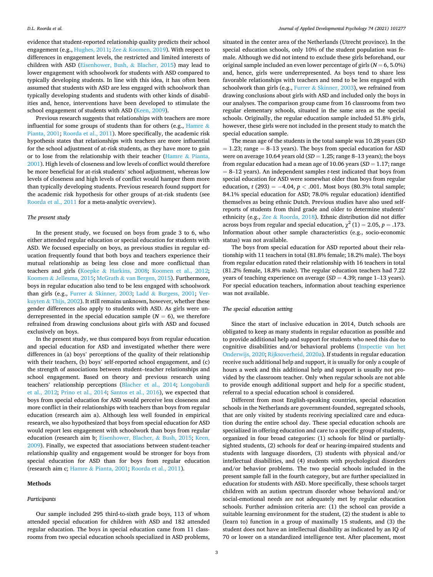evidence that student-reported relationship quality predicts their school engagement (e.g., [Hughes, 2011](#page-8-0); Zee & [Koomen, 2019](#page-9-0)). With respect to differences in engagement levels, the restricted and limited interests of children with ASD ([Eisenhower, Bush,](#page-8-0) & Blacher, 2015) may lead to lower engagement with schoolwork for students with ASD compared to typically developing students. In line with this idea, it has often been assumed that students with ASD are less engaged with schoolwork than typically developing students and students with other kinds of disabilities and, hence, interventions have been developed to stimulate the school engagement of students with ASD [\(Keen, 2009](#page-8-0)).

Previous research suggests that relationships with teachers are more influential for some groups of students than for others (e.g., [Hamre](#page-8-0)  $\&$ [Pianta, 2001](#page-8-0); [Roorda et al., 2011\)](#page-9-0). More specifically, the academic risk hypothesis states that relationships with teachers are more influential for the school adjustment of at-risk students, as they have more to gain or to lose from the relationship with their teacher [\(Hamre](#page-8-0) & Pianta, [2001\)](#page-8-0). High levels of closeness and low levels of conflict would therefore be more beneficial for at-risk students' school adjustment, whereas low levels of closeness and high levels of conflict would hamper them more than typically developing students. Previous research found support for the academic risk hypothesis for other groups of at-risk students (see [Roorda et al., 2011](#page-9-0) for a meta-analytic overview).

### *The present study*

In the present study, we focused on boys from grade 3 to 6, who either attended regular education or special education for students with ASD. We focused especially on boys, as previous studies in regular education frequently found that both boys and teachers experience their mutual relationship as being less close and more conflictual than teachers and girls (Koepke & [Harkins, 2008](#page-8-0); [Koomen et al., 2012](#page-8-0); Koomen & [Jellesma, 2015](#page-8-0); McGrath & [van Bergen, 2015\)](#page-8-0). Furthermore, boys in regular education also tend to be less engaged with schoolwork than girls (e.g., Furrer & [Skinner, 2003](#page-8-0); Ladd & [Burgess, 2001](#page-8-0); [Ver](#page-9-0)kuyten & [Thijs, 2002](#page-9-0)). It still remains unknown, however, whether these gender differences also apply to students with ASD. As girls were underrepresented in the special education sample  $(N = 6)$ , we therefore refrained from drawing conclusions about girls with ASD and focused exclusively on boys.

In the present study, we thus compared boys from regular education and special education for ASD and investigated whether there were differences in (a) boys' perceptions of the quality of their relationship with their teachers, (b) boys' self-reported school engagement, and (c) the strength of associations between student–teacher relationships and school engagement. Based on theory and previous research using teachers' relationship perceptions ([Blacher et al., 2014](#page-8-0); [Longobardi](#page-8-0)  [et al., 2012;](#page-8-0) [Prino et al., 2014](#page-9-0); [Santos et al., 2016](#page-9-0)), we expected that boys from special education for ASD would perceive less closeness and more conflict in their relationships with teachers than boys from regular education (research aim a). Although less well founded in empirical research, we also hypothesized that boys from special education for ASD would report less engagement with schoolwork than boys from regular education (research aim b; [Eisenhower, Blacher,](#page-8-0) & Bush, 2015; [Keen,](#page-8-0)  [2009\)](#page-8-0). Finally, we expected that associations between student-teacher relationship quality and engagement would be stronger for boys from special education for ASD than for boys from regular education (research aim c; Hamre & [Pianta, 2001](#page-8-0); [Roorda et al., 2011\)](#page-9-0).

#### **Methods**

#### *Participants*

situated in the center area of the Netherlands (Utrecht province). In the special education schools, only 10% of the student population was female. Although we did not intend to exclude these girls beforehand, our original sample included an even lower percentage of girls  $(N = 6, 5.0\%)$ and, hence, girls were underrepresented. As boys tend to share less favorable relationships with teachers and tend to be less engaged with schoolwork than girls (e.g., Furrer & [Skinner, 2003\)](#page-8-0), we refrained from drawing conclusions about girls with ASD and included only the boys in our analyses. The comparison group came from 16 classrooms from two regular elementary schools, situated in the same area as the special schools. Originally, the regular education sample included 51.8% girls, however, these girls were not included in the present study to match the special education sample.

The mean age of the students in the total sample was 10.28 years (*SD*   $= 1.23$ ; range  $= 8-13$  years). The boys from special education for ASD were on average 10.64 years old (*SD* = 1.25; range 8–13 years); the boys from regular education had a mean age of 10.06 years (*SD* = 1.17; range = 8–12 years). An independent samples *t*-test indicated that boys from special education for ASD were somewhat older than boys from regular education, *t* (293) = −4.04, *p* < .001. Most boys (80.3% total sample; 84.1% special education for ASD; 78.0% regular education) identified themselves as being ethnic Dutch. Previous studies have also used selfreports of students from third grade and older to determine students' ethnicity (e.g., Zee & [Roorda, 2018](#page-9-0)). Ethnic distribution did not differ across boys from regular and special education,  $\chi^2$  (1) = 2.05, *p* = .173. Information about other sample characteristics (e.g., socio-economic status) was not available.

The boys from special education for ASD reported about their relationship with 11 teachers in total (81.8% female; 18.2% male). The boys from regular education rated their relationship with 16 teachers in total (81.2% female, 18.8% male). The regular education teachers had 7.22 years of teaching experience on average (*SD* = 4.39; range 1–13 years). For special education teachers, information about teaching experience was not available.

#### *The special education setting*

Since the start of inclusive education in 2014, Dutch schools are obligated to keep as many students in regular education as possible and to provide additional help and support for students who need this due to cognitive disabilities and/or behavioral problems [\(Inspectie van het](#page-8-0)  [Onderwijs, 2020](#page-8-0); [Rijksoverheid, 2020a\)](#page-9-0). If students in regular education receive such additional help and support, it is usually for only a couple of hours a week and this additional help and support is usually not provided by the classroom teacher. Only when regular schools are not able to provide enough additional support and help for a specific student, referral to a special education school is considered.

Different from most English-speaking countries, special education schools in the Netherlands are government-founded, segregated schools, that are only visited by students receiving specialized care and education during the entire school day. These special education schools are specialized in offering education and care to a specific group of students, organized in four broad categories: (1) schools for blind or partiallysighted students, (2) schools for deaf or hearing-impaired students and students with language disorders, (3) students with physical and/or intellectual disabilities, and (4) students with psychological disorders and/or behavior problems. The two special schools included in the present sample fall in the fourth category, but are further specialized in education for students with ASD. More specifically, these schools target children with an autism spectrum disorder whose behavioral and/or social-emotional needs are not adequately met by regular education schools. Further admission criteria are: (1) the school can provide a suitable learning environment for the student, (2) the student is able to (learn to) function in a group of maximally 15 students, and (3) the student does not have an intellectual disability as indicated by an IQ of 70 or lower on a standardized intelligence test. After placement, most

Our sample included 295 third-to-sixth grade boys, 113 of whom attended special education for children with ASD and 182 attended regular education. The boys in special education came from 11 classrooms from two special education schools specialized in ASD problems,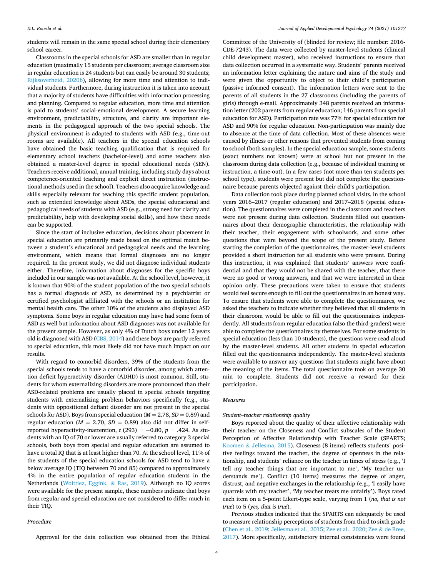students will remain in the same special school during their elementary school career.

Classrooms in the special schools for ASD are smaller than in regular education (maximally 15 students per classroom; average classroom size in regular education is 24 students but can easily be around 30 students; [Rijksoverheid, 2020b\)](#page-9-0), allowing for more time and attention to individual students. Furthermore, during instruction it is taken into account that a majority of students have difficulties with information processing and planning. Compared to regular education, more time and attention is paid to students' social-emotional development. A secure learning environment, predictability, structure, and clarity are important elements in the pedagogical approach of the two special schools. The physical environment is adapted to students with ASD (e.g., time-out rooms are available). All teachers in the special education schools have obtained the basic teaching qualification that is required for elementary school teachers (bachelor-level) and some teachers also obtained a master-level degree in special educational needs (SEN). Teachers receive additional, annual training, including study days about competence-oriented teaching and explicit direct instruction (instructional methods used in the school). Teachers also acquire knowledge and skills especially relevant for teaching this specific student population, such as extended knowledge about ASDs, the special educational and pedagogical needs of students with ASD (e.g., strong need for clarity and predictability, help with developing social skills), and how these needs can be supported.

Since the start of inclusive education, decisions about placement in special education are primarily made based on the optimal match between a student's educational and pedagogical needs and the learning environment, which means that formal diagnoses are no longer required. In the present study, we did not diagnose individual students either. Therefore, information about diagnoses for the specific boys included in our sample was not available. At the school level, however, it is known that 90% of the student population of the two special schools has a formal diagnosis of ASD, as determined by a psychiatrist or certified psychologist affiliated with the schools or an institution for mental health care. The other 10% of the students also displayed ASD symptoms. Some boys in regular education may have had some form of ASD as well but information about ASD diagnoses was not available for the present sample. However, as only 4% of Dutch boys under 12 years old is diagnosed with ASD [\(CBS, 2014](#page-8-0)) and these boys are partly referred to special education, this most likely did not have much impact on our results.

With regard to comorbid disorders, 39% of the students from the special schools tends to have a comorbid disorder, among which attention deficit hyperactivity disorder (ADHD) is most common. Still, students for whom externalizing disorders are more pronounced than their ASD-related problems are usually placed in special schools targeting students with externalizing problem behaviors specifically (e.g., students with oppositional defiant disorder are not present in the special schools for ASD). Boys from special education (*M* = 2.78, *SD* = 0.89) and regular education ( $M = 2.70$ ,  $SD = 0.89$ ) also did not differ in selfreported hyperactivity-inattention,  $t$  (293) =  $-0.80$ ,  $p = .424$ . As students with an IQ of 70 or lower are usually referred to category 3 special schools, both boys from special and regular education are assumed to have a total IQ that is at least higher than 70. At the school level, 11% of the students of the special education schools for ASD tend to have a below average IQ (TIQ between 70 and 85) compared to approximately 4% in the entire population of regular education students in the Netherlands ([Woittiez, Eggink,](#page-9-0) & Ras, 2019). Although no IQ scores were available for the present sample, these numbers indicate that boys from regular and special education are not considered to differ much in their TIQ.

#### *Procedure*

Approval for the data collection was obtained from the Ethical

Committee of the University of (blinded for review; file number: 2016- CDE-7243). The data were collected by master-level students (clinical child development master), who received instructions to ensure that data collection occurred in a systematic way. Students' parents received an information letter explaining the nature and aims of the study and were given the opportunity to object to their child's participation (passive informed consent). The information letters were sent to the parents of all students in the 27 classrooms (including the parents of girls) through e-mail. Approximately 348 parents received an information letter (202 parents from regular education; 146 parents from special education for ASD). Participation rate was 77% for special education for ASD and 90% for regular education. Non-participation was mainly due to absence at the time of data collection. Most of these absences were caused by illness or other reasons that prevented students from coming to school (both samples). In the special education sample, some students (exact numbers not known) were at school but not present in the classroom during data collection (e.g., because of individual training or instruction, a time-out). In a few cases (not more than ten students per school type), students were present but did not complete the questionnaire because parents objected against their child's participation.

Data collection took place during planned school visits, in the school years 2016–2017 (regular education) and 2017–2018 (special education). The questionnaires were completed in the classroom and teachers were not present during data collection. Students filled out questionnaires about their demographic characteristics, the relationship with their teacher, their engagement with schoolwork, and some other questions that were beyond the scope of the present study. Before starting the completion of the questionnaires, the master-level students provided a short instruction for all students who were present. During this instruction, it was explained that students' answers were confidential and that they would not be shared with the teacher, that there were no good or wrong answers, and that we were interested in their opinion only. These precautions were taken to ensure that students would feel secure enough to fill out the questionnaires in an honest way. To ensure that students were able to complete the questionnaires, we asked the teachers to indicate whether they believed that all students in their classroom would be able to fill out the questionnaires independently. All students from regular education (also the third-graders) were able to complete the questionnaires by themselves. For some students in special education (less than 10 students), the questions were read aloud by the master-level students. All other students in special education filled out the questionnaires independently. The master-level students were available to answer any questions that students might have about the meaning of the items. The total questionnaire took on average 30 min to complete. Students did not receive a reward for their participation.

### *Measures*

#### *Student*–*teacher relationship quality*

Boys reported about the quality of their affective relationship with their teacher on the Closeness and Conflict subscales of the Student Perception of Affective Relationship with Teacher Scale (SPARTS; Koomen & [Jellesma, 2015\)](#page-8-0). Closeness (8 items) reflects students' positive feelings toward the teacher, the degree of openness in the relationship, and students' reliance on the teacher in times of stress (e.g., 'I tell my teacher things that are important to me', 'My teacher understands me'). Conflict (10 items) measures the degree of anger, distrust, and negative exchanges in the relationship (e.g., 'I easily have quarrels with my teacher', 'My teacher treats me unfairly'). Boys rated each item on a 5-point Likert-type scale, varying from 1 (*no, that is not true*) to 5 (*yes, that is true*).

Previous studies indicated that the SPARTS can adequately be used to measure relationship perceptions of students from third to sixth grade ([Chen et al., 2019; Jellesma et al., 2015;](#page-8-0) [Zee et al., 2020;](#page-9-0) Zee & [de Bree,](#page-9-0)  [2017\)](#page-9-0). More specifically, satisfactory internal consistencies were found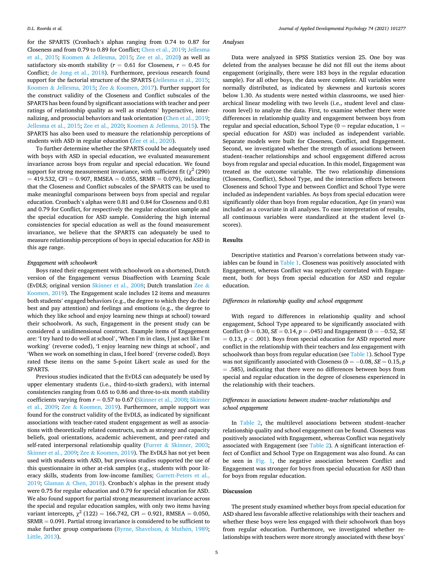for the SPARTS (Cronbach's alphas ranging from 0.74 to 0.87 for Closeness and from 0.79 to 0.89 for Conflict; [Chen et al., 2019](#page-8-0); [Jellesma](#page-8-0)  [et al., 2015](#page-8-0); Koomen & [Jellesma, 2015;](#page-8-0) [Zee et al., 2020\)](#page-9-0) as well as satisfactory six-month stability ( $r = 0.61$  for Closeness,  $r = 0.45$  for Conflict; [de Jong et al., 2018\)](#page-8-0). Furthermore, previous research found support for the factorial structure of the SPARTS ([Jellesma et al., 2015](#page-8-0); Koomen & [Jellesma, 2015](#page-8-0); Zee & [Koomen, 2017](#page-9-0)). Further support for the construct validity of the Closeness and Conflict subscales of the SPARTS has been found by significant associations with teacher and peer ratings of relationship quality as well as students' hyperactive, internalizing, and prosocial behaviors and task orientation [\(Chen et al., 2019](#page-8-0); [Jellesma et al., 2015;](#page-8-0) [Zee et al., 2020](#page-9-0); Koomen & [Jellesma, 2015\)](#page-8-0). The SPARTS has also been used to measure the relationship perceptions of students with ASD in regular education [\(Zee et al., 2020](#page-9-0)).

To further determine whether the SPARTS could be adequately used with boys with ASD in special education, we evaluated measurement invariance across boys from regular and special education. We found support for strong measurement invariance, with sufficient fit ( $\chi^2$  (290)  $= 419.532$ , CFI = 0.907, RMSEA = 0.055, SRMR = 0.079), indicating that the Closeness and Conflict subscales of the SPARTS can be used to make meaningful comparisons between boys from special and regular education. Cronbach's alphas were 0.81 and 0.84 for Closeness and 0.81 and 0.79 for Conflict, for respectively the regular education sample and the special education for ASD sample. Considering the high internal consistencies for special education as well as the found measurement invariance, we believe that the SPARTS can adequately be used to measure relationship perceptions of boys in special education for ASD in this age range.

#### *Engagement with schoolwork*

Boys rated their engagement with schoolwork on a shortened, Dutch version of the Engagement versus Disaffection with Learning Scale (EvDLS; original version [Skinner et al., 2008;](#page-9-0) Dutch translation [Zee](#page-9-0) & [Koomen, 2019\)](#page-9-0). The Engagement scale includes 12 items and measures both students' engaged behaviors (e.g., the degree to which they do their best and pay attention) and feelings and emotions (e.g., the degree to which they like school and enjoy learning new things at school) toward their schoolwork. As such, Engagement in the present study can be considered a unidimensional construct. Example items of Engagement are: 'I try hard to do well at school', 'When I'm in class, I just act like I'm working' (reverse coded), 'I enjoy learning new things at school', and 'When we work on something in class, I feel bored' (reverse coded). Boys rated these items on the same 5-point Likert scale as used for the SPARTS.

Previous studies indicated that the EvDLS can adequately be used by upper elementary students (i.e., third-to-sixth graders), with internal consistencies ranging from 0.65 to 0.86 and three-to-six month stability coefficients varying from  $r = 0.57$  to 0.67 ([Skinner et al., 2008](#page-9-0); Skinner [et al., 2009](#page-9-0); Zee & [Koomen, 2019](#page-9-0)). Furthermore, ample support was found for the construct validity of the EvDLS, as indicated by significant associations with teacher-rated student engagement as well as associations with theoretically related constructs, such as strategy and capacity beliefs, goal orientations, academic achievement, and peer-rated and self-rated interpersonal relationship quality (Furrer & [Skinner, 2003](#page-8-0); [Skinner et al., 2009](#page-9-0); Zee & [Koomen, 2019](#page-9-0)). The EvDLS has not yet been used with students with ASD, but previous studies supported the use of this questionnaire in other at-risk samples (e.g., students with poor literacy skills, students from low-income families; [Garrett-Peters et al.,](#page-8-0)  [2019;](#page-8-0) Glaman & [Chen, 2018\)](#page-8-0). Cronbach's alphas in the present study were 0.75 for regular education and 0.79 for special education for ASD. We also found support for partial strong measurement invariance across the special and regular education samples, with only two items having variant intercepts,  $\chi^2$  (122) = 166.742, CFI = 0.921, RMSEA = 0.050, SRMR = 0.091. Partial strong invariance is considered to be sufficient to make further group comparisons ([Byrne, Shavelson,](#page-8-0) & Muthén, 1989; [Little, 2013\)](#page-8-0).

## *Analyses*

Data were analyzed in SPSS Statistics version 25. One boy was deleted from the analyses because he did not fill out the items about engagement (originally, there were 183 boys in the regular education sample). For all other boys, the data were complete. All variables were normally distributed, as indicated by skewness and kurtosis scores below 1.30. As students were nested within classrooms, we used hierarchical linear modeling with two levels (i.e., student level and classroom level) to analyze the data. First, to examine whether there were differences in relationship quality and engagement between boys from regular and special education, School Type  $(0 =$  regular education,  $1 =$ special education for ASD) was included as independent variable. Separate models were built for Closeness, Conflict, and Engagement. Second, we investigated whether the strength of associations between student–teacher relationships and school engagement differed across boys from regular and special education. In this model, Engagement was treated as the outcome variable. The two relationship dimensions (Closeness, Conflict), School Type, and the interaction effects between Closeness and School Type and between Conflict and School Type were included as independent variables. As boys from special education were significantly older than boys from regular education, Age (in years) was included as a covariate in all analyses. To ease interpretation of results, all continuous variables were standardized at the student level (*z*scores).

## **Results**

Descriptive statistics and Pearson's correlations between study variables can be found in [Table 1.](#page-6-0) Closeness was positively associated with Engagement, whereas Conflict was negatively correlated with Engagement, both for boys from special education for ASD and regular education.

#### *Differences in relationship quality and school engagement*

With regard to differences in relationship quality and school engagement, School Type appeared to be significantly associated with Conflict (*b* = 0.30, *SE* = 0.14, *p* = .045) and Engagement (*b* = − 0.52, *SE*  = 0.13, *p <* .001). Boys from special education for ASD reported *more*  conflict in the relationship with their teachers and *less* engagement with schoolwork than boys from regular education (see [Table 1](#page-6-0)). School Type was not significantly associated with Closeness ( $b = -0.08$ ,  $SE = 0.15$ , *p* = .585), indicating that there were no differences between boys from special and regular education in the degree of closeness experienced in the relationship with their teachers.

## *Differences in associations between student*–*teacher relationships and school engagement*

In [Table 2,](#page-6-0) the multilevel associations between student–teacher relationship quality and school engagement can be found. Closeness was positively associated with Engagement, whereas Conflict was negatively associated with Engagement (see [Table 2\)](#page-6-0). A significant interaction effect of Conflict and School Type on Engagement was also found. As can be seen in [Fig. 1](#page-6-0), the negative association between Conflict and Engagement was stronger for boys from special education for ASD than for boys from regular education.

#### **Discussion**

The present study examined whether boys from special education for ASD shared less favorable affective relationships with their teachers and whether these boys were less engaged with their schoolwork than boys from regular education. Furthermore, we investigated whether relationships with teachers were more strongly associated with these boys'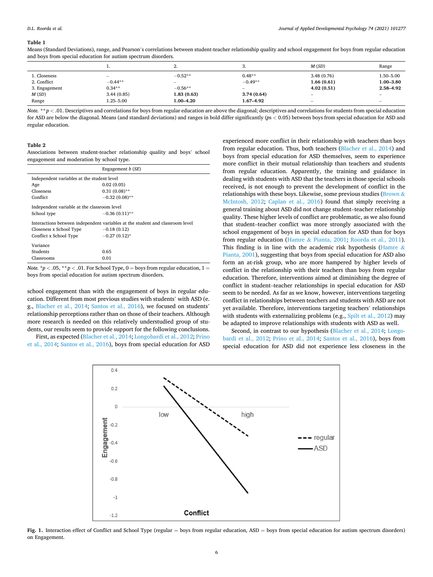#### <span id="page-6-0"></span>**Table 1**

|               |                          | ٠.               | J.                              | M(SD)            | Range                    |
|---------------|--------------------------|------------------|---------------------------------|------------------|--------------------------|
| 1. Closeness  | $\overline{\phantom{a}}$ | $-0.52**$        | $0.48**$                        | 3.48(0.76)       | 1.50-5.00                |
| 2. Conflict   | $-0.44**$                | $\hspace{0.5cm}$ | $-0.49**$                       | 1.66(0.61)       | $1.00 - 3.80$            |
| 3. Engagement | $0.34**$                 | $-0.56**$        | $\hspace{0.1mm}-\hspace{0.1mm}$ | 4.02(0.51)       | 2.58-4.92                |
| M(SD)         | 3.44(0.85)               | 1.83(0.63)       | 3.74(0.64)                      | $\hspace{0.5cm}$ | $\hspace{0.05cm}$        |
| Range         | 1.25-5.00                | 1.00–4.20        | 1.67-4.92                       | $\sim$           | $\overline{\phantom{a}}$ |

Means (Standard Deviations), range, and Pearson's correlations between student-teacher relationship quality and school engagement for boys from regular education and boys from special education for autism spectrum disorders*.* 

*Note. \*\* p <* .01. Descriptives and correlations for boys from regular education are above the diagonal; descriptives and correlations for students from special education for ASD are below the diagonal. Means (and standard deviations) and ranges in bold differ significantly (*p*s *<* 0.05) between boys from special education for ASD and regular education.

#### **Table 2**

Associations between student-teacher relationship quality and boys' school engagement and moderation by school type.

|                                                                               | Engagement $b(SE)$ |  |  |  |
|-------------------------------------------------------------------------------|--------------------|--|--|--|
| Independent variables at the student level                                    |                    |  |  |  |
| Age                                                                           | 0.02(0.05)         |  |  |  |
| Closeness                                                                     | $0.31(0.08)$ **    |  |  |  |
| Conflict                                                                      | $-0.32(0.08)$ **   |  |  |  |
| Independent variable at the classroom level                                   |                    |  |  |  |
| School type                                                                   | $-0.36(0.11)$ **   |  |  |  |
| Interactions between independent variables at the student and classroom level |                    |  |  |  |
| Closeness x School Type                                                       | $-0.18(0.12)$      |  |  |  |
| Conflict x School Type                                                        | $-0.27(0.12)$ *    |  |  |  |
| Variance                                                                      |                    |  |  |  |
| Students                                                                      | 0.65               |  |  |  |
| Classrooms                                                                    | 0.01               |  |  |  |

*Note.*  $*p < .05$ *,*  $** p < .01$ . For School Type, 0 = boys from regular education, 1 = boys from special education for autism spectrum disorders.

school engagement than with the engagement of boys in regular education. Different from most previous studies with students' with ASD (e. g., [Blacher et al., 2014;](#page-8-0) [Santos et al., 2016](#page-9-0)), we focused on students' relationship perceptions rather than on those of their teachers. Although more research is needed on this relatively understudied group of students, our results seem to provide support for the following conclusions.

First, as expected [\(Blacher et al., 2014](#page-8-0); [Longobardi et al., 2012;](#page-8-0) [Prino](#page-9-0)  [et al., 2014;](#page-9-0) [Santos et al., 2016](#page-9-0)), boys from special education for ASD experienced more conflict in their relationship with teachers than boys from regular education. Thus, both teachers [\(Blacher et al., 2014\)](#page-8-0) and boys from special education for ASD themselves, seem to experience more conflict in their mutual relationship than teachers and students from regular education. Apparently, the training and guidance in dealing with students with ASD that the teachers in those special schools received, is not enough to prevent the development of conflict in the relationships with these boys. Likewise, some previous studies ([Brown](#page-8-0)  $\&$ [McIntosh, 2012](#page-8-0); [Caplan et al., 2016\)](#page-8-0) found that simply receiving a general training about ASD did not change student–teacher relationship quality. These higher levels of conflict are problematic, as we also found that student–teacher conflict was more strongly associated with the school engagement of boys in special education for ASD than for boys from regular education (Hamre & [Pianta, 2001](#page-8-0); [Roorda et al., 2011](#page-9-0)). This finding is in line with the academic risk hypothesis ([Hamre](#page-8-0)  $\&$ [Pianta, 2001](#page-8-0)), suggesting that boys from special education for ASD also form an at-risk group, who are more hampered by higher levels of conflict in the relationship with their teachers than boys from regular education. Therefore, interventions aimed at diminishing the degree of conflict in student–teacher relationships in special education for ASD seem to be needed. As far as we know, however, interventions targeting conflict in relationships between teachers and students with ASD are not yet available. Therefore, interventions targeting teachers' relationships with students with externalizing problems (e.g., [Spilt et al., 2012](#page-9-0)) may be adapted to improve relationships with students with ASD as well.

Second, in contrast to our hypothesis ([Blacher et al., 2014](#page-8-0); [Longo](#page-8-0)[bardi et al., 2012](#page-8-0); [Prino et al., 2014;](#page-9-0) [Santos et al., 2016](#page-9-0)), boys from special education for ASD did not experience less closeness in the



Fig. 1. Interaction effect of Conflict and School Type (regular = boys from regular education, ASD = boys from special education for autism spectrum disorders) on Engagement.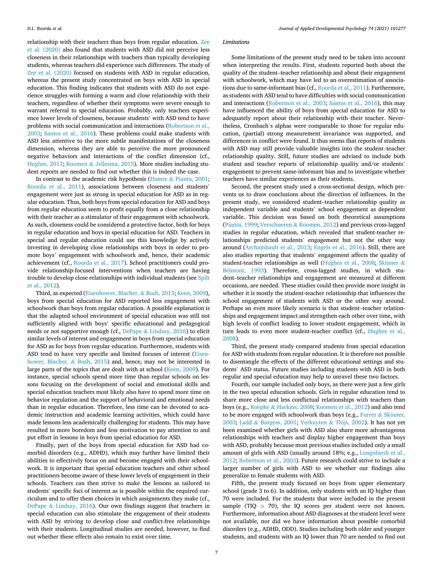relationship with their teachers than boys from regular education. [Zee](#page-9-0)  [et al. \(2020\)](#page-9-0) also found that students with ASD did not perceive less closeness in their relationships with teachers than typically developing students, whereas teachers did experience such differences. The study of [Zee et al. \(2020\)](#page-9-0) focused on students with ASD in regular education, whereas the present study concentrated on boys with ASD in special education. This finding indicates that students with ASD do not experience struggles with forming a warm and close relationship with their teachers, regardless of whether their symptoms were severe enough to warrant referral to special education. Probably, only teachers experience lower levels of closeness, because students' with ASD tend to have problems with social communication and interactions [\(Robertson et al.,](#page-9-0)  [2003;](#page-9-0) [Santos et al., 2016](#page-9-0)). These problems could make students with ASD less attentive to the more subtle manifestations of the closeness dimension, whereas they are able to perceive the more pronounced negative behaviors and interactions of the conflict dimension (cf., [Hughes, 2011;](#page-8-0) Koomen & [Jellesma, 2015\)](#page-8-0). More studies including student reports are needed to find out whether this is indeed the case.

In contrast to the academic risk hypothesis (Hamre & [Pianta, 2001](#page-8-0); [Roorda et al., 2011](#page-9-0)), associations between closeness and students' engagement were just as strong in special education for ASD as in regular education. Thus, both boys from special education for ASD and boys from regular education seem to profit equally from a close relationship with their teacher as a stimulator of their engagement with schoolwork. As such, closeness could be considered a protective factor, both for boys in regular education and boys in special education for ASD. Teachers in special and regular education could use this knowledge by actively investing in developing close relationships with boys in order to promote boys' engagement with schoolwork and, hence, their academic achievement (cf., [Roorda et al., 2017\)](#page-9-0). School practitioners could provide relationship-focused interventions when teachers are having trouble to develop close relationships with individual students (see [Spilt](#page-9-0)  [et al., 2012\)](#page-9-0).

Third, as expected ([Eisenhower, Blacher,](#page-8-0) & Bush, 2015; [Keen, 2009](#page-8-0)), boys from special education for ASD reported less engagement with schoolwork than boys from regular education. A possible explanation is that the adapted school environment of special education was still not sufficiently aligned with boys' specific educational and pedagogical needs or not supportive enough (cf., DePape & [Lindsay, 2016](#page-8-0)) to elicit similar levels of interest and engagement in boys from special education for ASD as for boys from regular education. Furthermore, students with ASD tend to have very specific and limited focuses of interest [\(Eisen](#page-8-0)[hower, Blacher,](#page-8-0) & Bush, 2015) and, hence, may not be interested in large parts of the topics that are dealt with at school [\(Keen, 2009](#page-8-0)). For instance, special schools spend more time than regular schools on lessons focusing on the development of social and emotional skills and special education teachers most likely also have to spend more time on behavior regulation and the support of behavioral and emotional needs than in regular education. Therefore, less time can be devoted to academic instruction and academic learning activities, which could have made lessons less academically challenging for students. This may have resulted in more boredom and less motivation to pay attention to and put effort in lessons in boys from special education for ASD.

Finally, part of the boys from special education for ASD had comorbid disorders (e.g., ADHD), which may further have limited their abilities to effectively focus on and become engaged with their schoolwork. It is important that special education teachers and other school practitioners become aware of these lower levels of engagement in their schools. Teachers can then strive to make the lessons as tailored to students' specific foci of interest as is possible within the required curriculum and to offer them choices in which assignments they make (cf., DePape & [Lindsay, 2016\)](#page-8-0). Our own findings suggest that teachers in special education can also stimulate the engagement of their students with ASD by striving to develop close and conflict-free relationships with their students. Longitudinal studies are needed, however, to find out whether these effects also remain to exist over time.

#### *Limitations*

Some limitations of the present study need to be taken into account when interpreting the results. First, students reported both about the quality of the student–teacher relationship and about their engagement with schoolwork, which may have led to an overestimation of associations due to same-informant bias (cf., [Roorda et al., 2011](#page-9-0)). Furthermore, as students with ASD tend to have difficulties with social communication and interactions [\(Robertson et al., 2003](#page-9-0); [Santos et al., 2016](#page-9-0)), this may have influenced the ability of boys from special education for ASD to adequately report about their relationship with their teacher. Nevertheless, Cronbach's alphas were comparable to those for regular education, (partial) strong measurement invariance was supported, and differences in conflict were found. It thus seems that reports of students with ASD may still provide valuable insights into the student–teacher relationship quality. Still, future studies are advised to include both student and teacher reports of relationship quality and/or students' engagement to prevent same-informant bias and to investigate whether teachers have similar experiences as their students.

Second, the present study used a cross-sectional design, which prevents us to draw conclusions about the direction of influences. In the present study, we considered student–teacher relationship quality as independent variable and students' school engagement as dependent variable. This decision was based on both theoretical assumptions ([Pianta, 1999;](#page-9-0) Verschueren & [Koomen, 2012\)](#page-9-0) and previous cross-lagged studies in regular education, which revealed that student-teacher relationships predicted students' engagement but not the other way around [\(Archambault et al., 2013;](#page-8-0) [Engels et al., 2016\)](#page-8-0). Still, there are also studies reporting that students' engagement affects the quality of student-teacher relationships as well [\(Hughes et al., 2008;](#page-8-0) [Skinner](#page-9-0) & [Belmont, 1993](#page-9-0)). Therefore, cross-lagged studies, in which student–teacher relationships and engagement are measured at different occasions, are needed. These studies could then provide more insight in whether it is mostly the student-teacher relationship that influences the school engagement of students with ASD or the other way around. Perhaps an even more likely scenario is that student–teacher relationships and engagement impact and strengthen each other over time, with high levels of conflict leading to lower student engagement, which in turn leads to even more student-teacher conflict (cf., [Hughes et al.,](#page-8-0)  [2008\)](#page-8-0).

Third, the present study compared students from special education for ASD with students from regular education. It is therefore not possible to disentangle the effects of the different educational settings and students' ASD status. Future studies including students with ASD in both regular and special education may help to unravel these two factors.

Fourth, our sample included only boys, as there were just a few girls in the two special education schools. Girls in regular education tend to share more close and less conflictual relationships with teachers than boys (e.g., Koepke & [Harkins, 2008; Koomen et al., 2012\)](#page-8-0) and also tend to be more engaged with schoolwork than boys (e.g., Furrer & Skinner, [2003;](#page-8-0) Ladd & [Burgess, 2001](#page-8-0); Verkuyten & [Thijs, 2002\)](#page-9-0). It has not yet been examined whether girls with ASD also share more advantageous relationships with teachers and display higher engagement than boys with ASD, probably because most previous studies included only a small amount of girls with ASD (usually around 18%; e.g., [Longobardi et al.,](#page-8-0)  [2012;](#page-8-0) [Robertson et al., 2003](#page-9-0)). Future research could strive to include a larger number of girls with ASD to see whether our findings also generalize to female students with ASD.

Fifth, the present study focused on boys from upper elementary school (grade 3 to 6). In addition, only students with an IQ higher than 70 were included. For the students that were included in the present sample (TIQ *>* 70), the IQ scores per student were not known. Furthermore, information about ASD diagnoses at the student level were not available, nor did we have information about possible comorbid disorders (e.g., ADHD, ODD). Studies including both older and younger students, and students with an IQ lower than 70 are needed to find out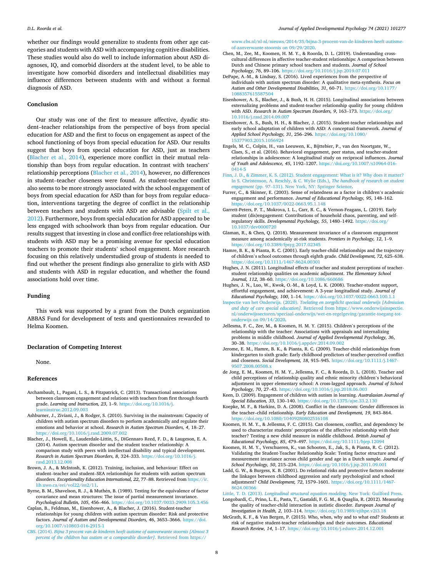<span id="page-8-0"></span>whether our findings would generalize to students from other age categories and students with ASD with accompanying cognitive disabilities. These studies would also do well to include information about ASD diagnoses, IQ, and comorbid disorders at the student level, to be able to investigate how comorbid disorders and intellectual disabilities may influence differences between students with and without a formal diagnosis of ASD.

### **Conclusion**

Our study was one of the first to measure affective, dyadic student–teacher relationships from the perspective of boys from special education for ASD and the first to focus on engagement as aspect of the school functioning of boys from special education for ASD. Our results suggest that boys from special education for ASD, just as teachers (Blacher et al., 2014), experience more conflict in their mutual relationship than boys from regular education. In contrast with teachers' relationship perceptions (Blacher et al., 2014), however, no differences in student–teacher closeness were found. As student-teacher conflict also seems to be more strongly associated with the school engagement of boys from special education for ASD than for boys from regular education, interventions targeting the degree of conflict in the relationship between teachers and students with ASD are advisable [\(Spilt et al.,](#page-9-0)  [2012\)](#page-9-0). Furthermore, boys from special education for ASD appeared to be less engaged with schoolwork than boys from regular education. Our results suggest that investing in close and conflict-free relationships with students with ASD may be a promising avenue for special education teachers to promote their students' school engagement. More research focusing on this relatively understudied group of students is needed to find out whether the present findings also generalize to girls with ASD and students with ASD in regular education, and whether the found associations hold over time.

## **Funding**

This work was supported by a grant from the Dutch organization ABBAS Fund for development of tests and questionnaires rewarded to Helma Koomen.

#### **Declaration of Competing Interest**

None.

## **References**

- Archambault, I., Pagani, L. S., & Fitzpatrick, C. (2013). Transactional associations between classroom engagement and relations with teachers from first through fourth grade. *Learning and Instruction, 23*, 1–9. [https://doi.org/10.1016/j.](https://doi.org/10.1016/j.learninstruc.2012.09.003)  [learninstruc.2012.09.003](https://doi.org/10.1016/j.learninstruc.2012.09.003)
- Ashburner, J., Ziviani, J., & Rodger, S. (2010). Surviving in the mainstream: Capacity of children with autism spectrum disorders to perform academically and regulate their emotions and behavior at school. *Research in Autism Spectrum Disorders, 4*, 18–27. <https://doi.org/10.1016/j.rasd.2009.07.002>
- Blacher, J., Howell, E., Lauderdale-Littin, S., DiGennaro Reed, F. D., & Laugeson, E. A. (2014). Autism spectrum disorder and the student teacher relationship: A comparison study with peers with intellectual disability and typical development. *Research in Autism Spectrum Disorders, 8*, 324–333. [https://doi.org/10.1016/j.](https://doi.org/10.1016/j.rasd.2013.12.008) [rasd.2013.12.008](https://doi.org/10.1016/j.rasd.2013.12.008)
- Brown, J. A., & McIntosh, K. (2012). Training, inclusion, and behaviour: Effect on student–teacher and student–SEA relationships for students with autism spectrum disorders. *Exceptionality Education International, 22*, 77–88. Retrieved from [https://ir.](https://ir.lib.uwo.ca/eei/vol22/iss2/11)  [lib.uwo.ca/eei/vol22/iss2/11](https://ir.lib.uwo.ca/eei/vol22/iss2/11).
- Byrne, B. M., Shavelson, R. J., & Muthén, B. (1989). Testing for the equivalence of factor covariance and mean structures: The issue of partial measurement invariance. *Psychological Bulletin, 105*, 456–466. <https://doi.org/10.1037/0033-2909.105.3.456>
- Caplan, B., Feldman, M., Eisenhower, A., & Blacher, J. (2016). Student-teacher relationships for young children with autism spectrum disorder: Risk and protective factors. *Journal of Autism and Developmental Disorders, 46*, 3653–3666. [https://doi.](https://doi.org/10.1007/s10803-016-2915-1)  [org/10.1007/s10803-016-2915-1](https://doi.org/10.1007/s10803-016-2915-1)
- CBS. (2014). *[Bijna 3 procent van de kinderen heeft autisme of aanverwante stoornis \[Almost 3](http://refhub.elsevier.com/S0193-3973(21)00040-X/rf0035)  [percent of the children has autism or a comparable disorder\]](http://refhub.elsevier.com/S0193-3973(21)00040-X/rf0035)*. Retrieved from https://

[www.cbs.nl/nl-nl/nieuws/2014/35/bijna-3-procent-van-de-kinderen-heeft-autisme](http://refhub.elsevier.com/S0193-3973(21)00040-X/rf0035)[of-aanverwante-stoornis on 09/29/2020.](http://refhub.elsevier.com/S0193-3973(21)00040-X/rf0035)

- Chen, M., Zee, M., Koomen, H. M. Y., & Roorda, D. L. (2019). Understanding crosscultural differences in affective teacher-student relationships: A comparison between Dutch and Chinese primary school teachers and students. *Journal of School Psychology, 76*, 89–106. <https://doi.org/10.1016/j.jsp.2019.07.011>
- DePape, A.-M., & Lindsay, S. (2016). Lived experiences from the perspective of individuals with autism spectrum disorder: A qualitative meta-synthesis. *Focus on Autism and Other Developmental Disabilities, 31*, 60–71. [https://doi.org/10.1177/](https://doi.org/10.1177/1088357615587504) [1088357615587504](https://doi.org/10.1177/1088357615587504)
- Eisenhower, A. S., Blacher, J., & Bush, H. H. (2015). Longitudinal associations between externalizing problems and student-teacher relationship quality for young children with ASD. *Research in Autism Spectrum Disorders, 9*, 163–173. [https://doi.org/](https://doi.org/10.1016/j.rasd.2014.09.007) [10.1016/j.rasd.2014.09.007](https://doi.org/10.1016/j.rasd.2014.09.007)
- Eisenhower, A. S., Bush, H. H., & Blacher, J. (2015). Student-teacher relationships and early school adaptation of children with ASD: A conceptual framework. *Journal of Applied School Psychology, 31*, 256–296. [https://doi.org/10.1080/](https://doi.org/10.1080/15377903.2015.1056924) [15377903.2015.1056924](https://doi.org/10.1080/15377903.2015.1056924)
- Engels, M. C., Colpin, H., van Leeuwen, K., Bijttebier, P., van den Noortgate, W., Claes, S., et al. (2016). Behavioral engagement, peer status, and teacher-student relationships in adolescence: A longitudinal study on reciprocal influences. *Journal of Youth and Adolescence, 45*, 1192–1207. [https://doi.org/10.1007/s10964-016-](https://doi.org/10.1007/s10964-016-0414-5) [0414-5](https://doi.org/10.1007/s10964-016-0414-5)
- [Finn, J. D., & Zimmer, K. S. \(2012\). Student engagement: What is it? Why does it matter?](http://refhub.elsevier.com/S0193-3973(21)00040-X/rf0065)  [In S. Christenson, A. Reschly, & C. Wylie \(Eds.\),](http://refhub.elsevier.com/S0193-3973(21)00040-X/rf0065) *The handbook of research on student engagement* (pp. 97–[131\). New York, NY: Springer Science](http://refhub.elsevier.com/S0193-3973(21)00040-X/rf0065).
- Furrer, C., & Skinner, E. (2003). Sense of relatedness as a factor in children's academic engagement and performance. *Journal of Educational Psychology, 95*, 148–162. <https://doi.org/10.1037/0022-0663.95.1.148>
- Garrett-Peters, P. T., Mokrova, I. L., Carr, R. C., & Vernon-Feagans, L. (2019). Early student (dis)engagement: Contributions of household chaos, parenting, and selfregulatory skills. *Developmental Psychology, 55*, 1480–1492. [https://doi.org/](https://doi.org/10.1037/dev0000720) [10.1037/dev0000720](https://doi.org/10.1037/dev0000720)
- Glaman, R., & Chen, Q. (2018). Measurement invariance of a classroom engagement measure among academically at-risk students. *Frontiers in Psychology, 12*, 1–9. <https://doi.org/10.3389/fpsyg.2017.02345>
- Hamre, B. K., & Pianta, R. C. (2001). Early teacher-child relationships and the trajectory of children's school outcomes through eighth grade. *Child Development, 72*, 625–638. <https://doi.org/10.1111/1467-8624.00301>
- Hughes, J. N. (2011). Longitudinal effects of teacher and student perceptions of teacherstudent relationship qualities on academic adjustment. *The Elementary School Journal, 112*, 38–60. <https://doi.org/10.1086/660686>
- Hughes, J. N., Luo, W., Kwok, O.-M., & Loyd, L. K. (2008). Teacher-student support, effortful engagement, and achievement: A 3-year longitudinal study. *Journal of Educational Psychology, 100*, 1–14. <https://doi.org/10.1037/0022-0663.100.1.1>
- Inspectie van het Onderwijs. (2020). *[Toelating en zorgplicht speciaal onderwijs \[Admission](http://refhub.elsevier.com/S0193-3973(21)00040-X/rf0100)  and duty of care special education]*[. Retrieved from https://www.onderwijsinspectie.](http://refhub.elsevier.com/S0193-3973(21)00040-X/rf0100)  [nl/onderwijssectoren/speciaal-onderwijs/wet-en-regelgeving/garantie-toegang-tot](http://refhub.elsevier.com/S0193-3973(21)00040-X/rf0100)[onderwijs on 09/14/2020](http://refhub.elsevier.com/S0193-3973(21)00040-X/rf0100).
- Jellesma, F. C., Zee, M., & Koomen, H. M. Y. (2015). Children's perceptions of the relationship with the teacher: Associations with appraisals and internalizing problems in middle childhood. *Journal of Applied Developmental Psychology, 36*, 30–38. <https://doi.org/10.1016/j.appdev.2014.09.002>
- Jerome, E. M., Hamre, B. K., & Pianta, R. C. (2009). Teacher-child relationships from kindergarten to sixth grade: Early childhood predictors of teacher-perceived conflict and closeness. *Social Development, 18*, 915–945. [https://doi.org/10.1111/j.1467-](https://doi.org/10.1111/j.1467-9507.2008.00508.x) [9507.2008.00508.x](https://doi.org/10.1111/j.1467-9507.2008.00508.x)
- de Jong, E. M., Koomen, H. M. Y., Jellesma, F. C., & Roorda, D. L. (2018). Teacher and child perceptions of relationship quality and ethnic minority children's behavioral adjustment in upper elementary school: A cross-lagged approach. *Journal of School Psychology, 70*, 27–43.<https://doi.org/10.1016/j.jsp.2018.06.003>
- Keen, D. (2009). Engagement of children with autism in learning. *Australasian Journal of Special Education, 33*, 130–140. <https://doi.org/10.1375/ajse.33.2.130>
- Koepke, M. F., & Harkins, D. A. (2008). Conflict in the classroom: Gender differences in the teacher–child relationship. *Early Education and Development, 19*, 843–864. <https://doi.org/10.1080/10409280802516108>
- Koomen, H. M. Y., & Jellesma, F. C. (2015). Can closeness, conflict, and dependency be used to characterize students' perceptions of the affective relationship with their teacher? Testing a new child measure in middle childhood. *British Journal of Educational Psychology, 85*, 479–497. <https://doi.org/10.1111/bjep.12094>
- Koomen, H. M. Y., Verschueren, K., van Schooten, E., Jak, S., & Pianta, R. C. (2012). Validating the Student-Teacher Relationship Scale: Testing factor structure and measurement invariance across child gender and age in a Dutch sample. *Journal of School Psychology, 50*, 215–234. <https://doi.org/10.1016/j.jsp.2011.09.001>
- Ladd, G. W., & Burgess, K. B. (2001). Do relational risks and protective factors moderate the linkages between childhood aggression and early psychological and school adjustment? *Child Development, 72*, 1579–1601. [https://doi.org/10.1111/1467-](https://doi.org/10.1111/1467-8624.00366) [8624.00366](https://doi.org/10.1111/1467-8624.00366)
- Little, T. D. (2013). *[Longitudinal structural equation modeling](http://refhub.elsevier.com/S0193-3973(21)00040-X/rf0145)*. New York: Guilford Press. Longobardi, C., Prino, L. E., Pasta, T., Gastaldi, F. G. M., & Quaglia, R. (2012). Measuring the quality of teacher-child interaction in autistic disorder. *European Journal of Investigation in Health, 2*, 103–114. <https://doi.org/10.1989/ejihpe.v2i3.18>
- McGrath, K. F., & Van Bergen, P. (2015). Who, when, why and to what end? Students at risk of negative student-teacher relationships and their outcomes. *Educational Research Review, 14*, 1–17. <https://doi.org/10.1016/j.edurev.2014.12.001>